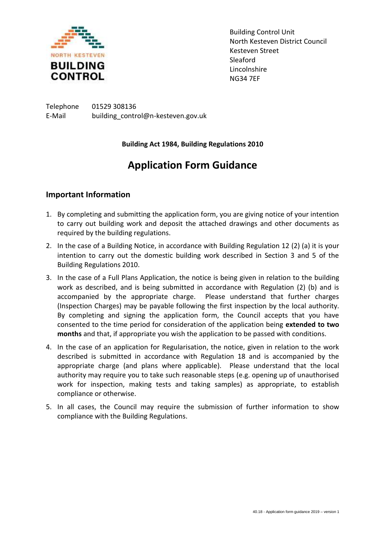

Building Control Unit North Kesteven District Council Kesteven Street Sleaford Lincolnshire NG34 7EF

Telephone 01529 308136 E-Mail building\_control@n-kesteven.gov.uk

#### **Building Act 1984, Building Regulations 2010**

# **Application Form Guidance**

### **Important Information**

- 1. By completing and submitting the application form, you are giving notice of your intention to carry out building work and deposit the attached drawings and other documents as required by the building regulations.
- 2. In the case of a Building Notice, in accordance with Building Regulation 12 (2) (a) it is your intention to carry out the domestic building work described in Section 3 and 5 of the Building Regulations 2010.
- 3. In the case of a Full Plans Application, the notice is being given in relation to the building work as described, and is being submitted in accordance with Regulation (2) (b) and is accompanied by the appropriate charge. Please understand that further charges (Inspection Charges) may be payable following the first inspection by the local authority. By completing and signing the application form, the Council accepts that you have consented to the time period for consideration of the application being **extended to two months** and that, if appropriate you wish the application to be passed with conditions.
- 4. In the case of an application for Regularisation, the notice, given in relation to the work described is submitted in accordance with Regulation 18 and is accompanied by the appropriate charge (and plans where applicable). Please understand that the local authority may require you to take such reasonable steps (e.g. opening up of unauthorised work for inspection, making tests and taking samples) as appropriate, to establish compliance or otherwise.
- 5. In all cases, the Council may require the submission of further information to show compliance with the Building Regulations.